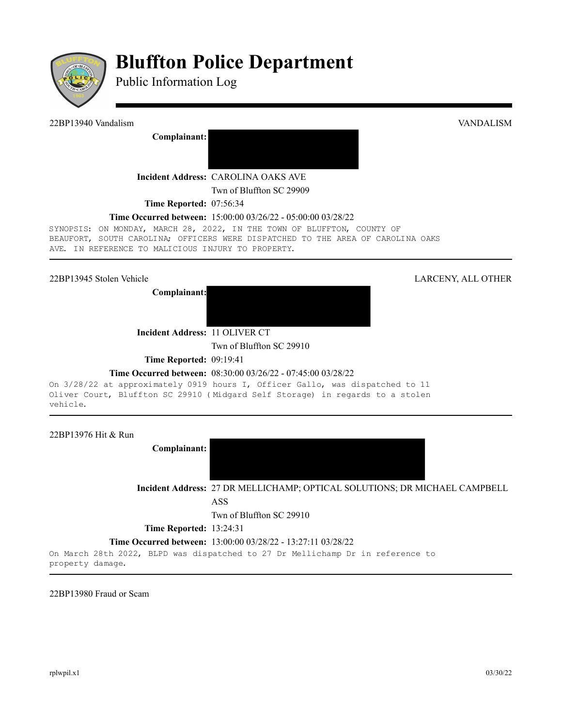

# **Bluffton Police Department**

Public Information Log

22BP13940 Vandalism VANDALISM

**Complainant:**

**Incident Address:** CAROLINA OAKS AVE

Twn of Bluffton SC 29909

**Time Reported:** 07:56:34

### **Time Occurred between:** 15:00:00 03/26/22 - 05:00:00 03/28/22

SYNOPSIS: ON MONDAY, MARCH 28, 2022, IN THE TOWN OF BLUFFTON, COUNTY OF BEAUFORT, SOUTH CAROLINA; OFFICERS WERE DISPATCHED TO THE AREA OF CAROLINA OAKS AVE. IN REFERENCE TO MALICIOUS INJURY TO PROPERTY.

**Complainant:**



**Incident Address:** 11 OLIVER CT

Twn of Bluffton SC 29910

**Time Reported: 09:19:41** 

## **Time Occurred between:** 08:30:00 03/26/22 - 07:45:00 03/28/22

On 3/28/22 at approximately 0919 hours I, Officer Gallo, was dispatched to 11 Oliver Court, Bluffton SC 29910 (Midgard Self Storage) in regards to a stolen vehicle.

22BP13976 Hit & Run

**Complainant:** 

**Incident Address:** 27 DR MELLICHAMP; OPTICAL SOLUTIONS; DR MICHAEL CAMPBELL ASS

Twn of Bluffton SC 29910

**Time Reported:** 13:24:31

**Time Occurred between:** 13:00:00 03/28/22 - 13:27:11 03/28/22

On March 28th 2022, BLPD was dispatched to 27 Dr Mellichamp Dr in reference to property damage.

22BP13980 Fraud or Scam